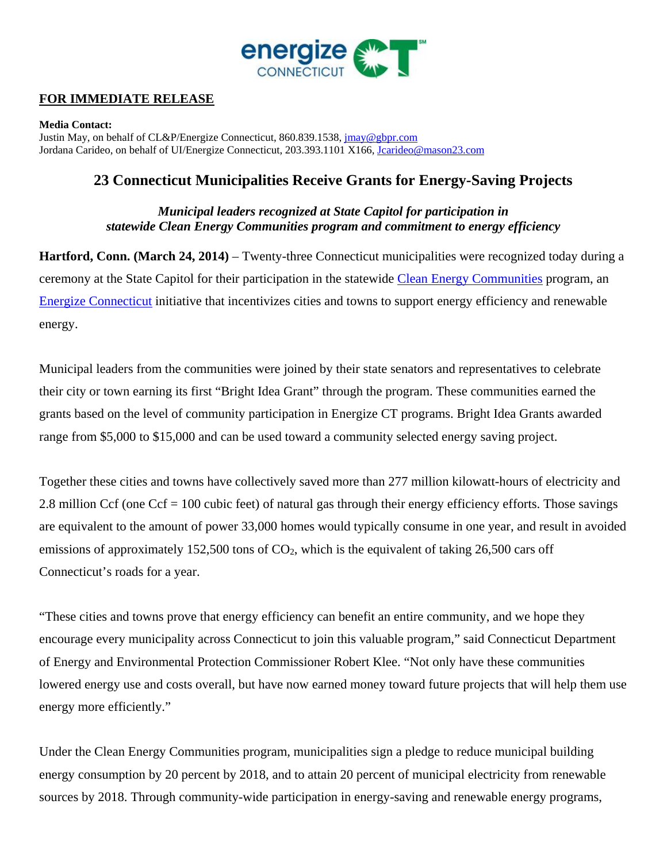

## **FOR IMMEDIATE RELEASE**

**Media Contact:**  Justin May, on behalf of CL&P/Energize Connecticut, 860.839.1538, jmay@gbpr.com Jordana Carideo, on behalf of UI/Energize Connecticut, 203.393.1101 X166, Jcarideo@mason23.com

# **23 Connecticut Municipalities Receive Grants for Energy-Saving Projects**

*Municipal leaders recognized at State Capitol for participation in statewide Clean Energy Communities program and commitment to energy efficiency* 

**Hartford, Conn. (March 24, 2014)** – Twenty-three Connecticut municipalities were recognized today during a ceremony at the State Capitol for their participation in the statewide Clean Energy Communities program, an Energize Connecticut initiative that incentivizes cities and towns to support energy efficiency and renewable energy.

Municipal leaders from the communities were joined by their state senators and representatives to celebrate their city or town earning its first "Bright Idea Grant" through the program. These communities earned the grants based on the level of community participation in Energize CT programs. Bright Idea Grants awarded range from \$5,000 to \$15,000 and can be used toward a community selected energy saving project.

Together these cities and towns have collectively saved more than 277 million kilowatt-hours of electricity and 2.8 million Ccf (one Ccf = 100 cubic feet) of natural gas through their energy efficiency efforts. Those savings are equivalent to the amount of power 33,000 homes would typically consume in one year, and result in avoided emissions of approximately 152,500 tons of  $CO<sub>2</sub>$ , which is the equivalent of taking 26,500 cars off Connecticut's roads for a year.

"These cities and towns prove that energy efficiency can benefit an entire community, and we hope they encourage every municipality across Connecticut to join this valuable program," said Connecticut Department of Energy and Environmental Protection Commissioner Robert Klee. "Not only have these communities lowered energy use and costs overall, but have now earned money toward future projects that will help them use energy more efficiently."

Under the Clean Energy Communities program, municipalities sign a pledge to reduce municipal building energy consumption by 20 percent by 2018, and to attain 20 percent of municipal electricity from renewable sources by 2018. Through community-wide participation in energy-saving and renewable energy programs,